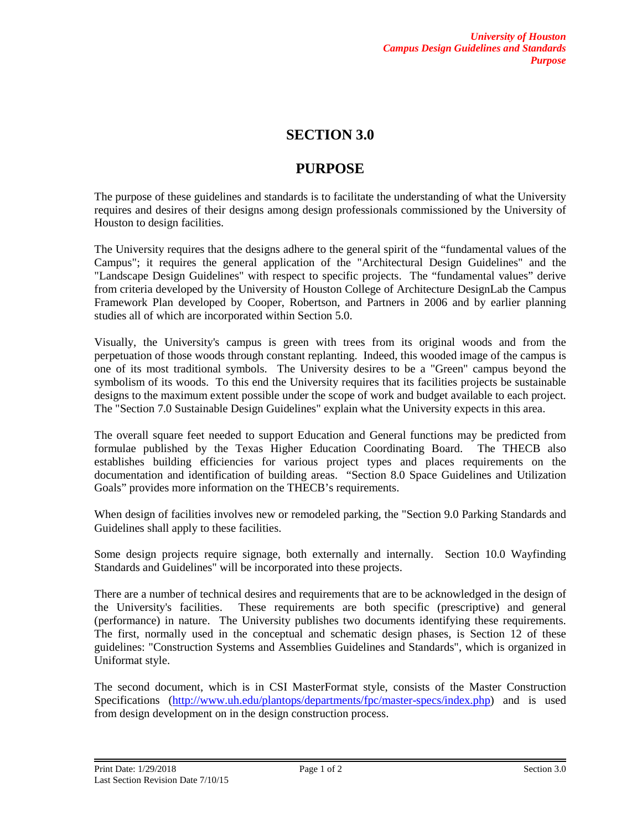## **SECTION 3.0**

## **PURPOSE**

The purpose of these guidelines and standards is to facilitate the understanding of what the University requires and desires of their designs among design professionals commissioned by the University of Houston to design facilities.

The University requires that the designs adhere to the general spirit of the "fundamental values of the Campus"; it requires the general application of the "Architectural Design Guidelines" and the "Landscape Design Guidelines" with respect to specific projects. The "fundamental values" derive from criteria developed by the University of Houston College of Architecture DesignLab the Campus Framework Plan developed by Cooper, Robertson, and Partners in 2006 and by earlier planning studies all of which are incorporated within Section 5.0.

Visually, the University's campus is green with trees from its original woods and from the perpetuation of those woods through constant replanting. Indeed, this wooded image of the campus is one of its most traditional symbols. The University desires to be a "Green" campus beyond the symbolism of its woods. To this end the University requires that its facilities projects be sustainable designs to the maximum extent possible under the scope of work and budget available to each project. The "Section 7.0 Sustainable Design Guidelines" explain what the University expects in this area.

The overall square feet needed to support Education and General functions may be predicted from formulae published by the Texas Higher Education Coordinating Board. The THECB also establishes building efficiencies for various project types and places requirements on the documentation and identification of building areas. "Section 8.0 Space Guidelines and Utilization Goals" provides more information on the THECB's requirements.

When design of facilities involves new or remodeled parking, the "Section 9.0 Parking Standards and Guidelines shall apply to these facilities.

Some design projects require signage, both externally and internally. Section 10.0 Wayfinding Standards and Guidelines" will be incorporated into these projects.

There are a number of technical desires and requirements that are to be acknowledged in the design of the University's facilities. These requirements are both specific (prescriptive) and general (performance) in nature. The University publishes two documents identifying these requirements. The first, normally used in the conceptual and schematic design phases, is Section 12 of these guidelines: "Construction Systems and Assemblies Guidelines and Standards", which is organized in Uniformat style.

The second document, which is in CSI MasterFormat style, consists of the Master Construction Specifications [\(http://www.uh.edu/plantops/departments/fpc/master-specs/index.php\)](http://www.uh.edu/plantops/departments/fpc/master-specs/index.php) and is used from design development on in the design construction process.